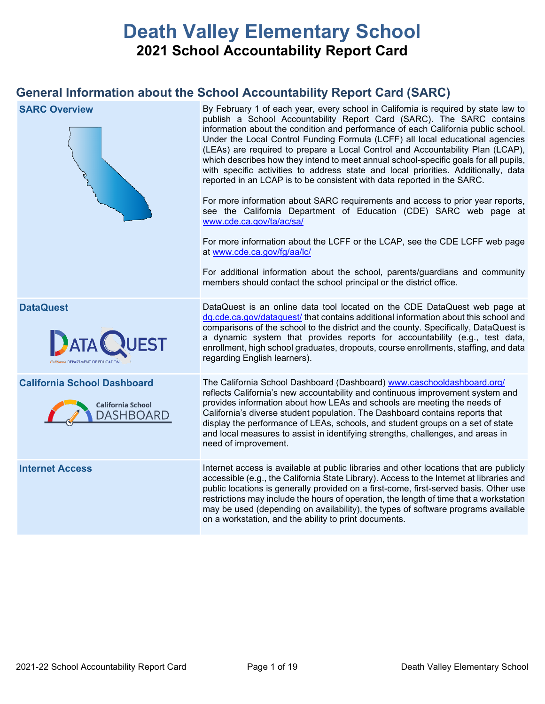# **Death Valley Elementary School 2021 School Accountability Report Card**

## **General Information about the School Accountability Report Card (SARC)**

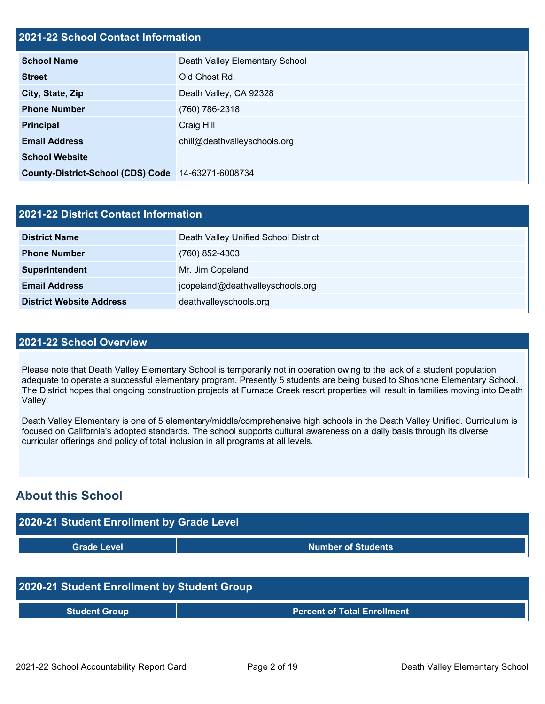### **2021-22 School Contact Information**

| EVE I EE OUNUUI SUNUUTIIIUNIIUNIU                  |                                |
|----------------------------------------------------|--------------------------------|
| <b>School Name</b>                                 | Death Valley Elementary School |
| <b>Street</b>                                      | Old Ghost Rd.                  |
| City, State, Zip                                   | Death Valley, CA 92328         |
| <b>Phone Number</b>                                | (760) 786-2318                 |
| <b>Principal</b>                                   | Craig Hill                     |
| <b>Email Address</b>                               | chill@deathvalleyschools.org   |
| <b>School Website</b>                              |                                |
| County-District-School (CDS) Code 14-63271-6008734 |                                |

| <b>2021-22 District Contact Information</b> |                                      |  |  |  |  |
|---------------------------------------------|--------------------------------------|--|--|--|--|
| <b>District Name</b>                        | Death Valley Unified School District |  |  |  |  |
| <b>Phone Number</b>                         | $(760)$ 852-4303                     |  |  |  |  |
| Superintendent                              | Mr. Jim Copeland                     |  |  |  |  |
| <b>Email Address</b>                        | jcopeland@deathvalleyschools.org     |  |  |  |  |
| <b>District Website Address</b>             | deathvalleyschools.org               |  |  |  |  |

### **2021-22 School Overview**

Please note that Death Valley Elementary School is temporarily not in operation owing to the lack of a student population adequate to operate a successful elementary program. Presently 5 students are being bused to Shoshone Elementary School. The District hopes that ongoing construction projects at Furnace Creek resort properties will result in families moving into Death Valley.

Death Valley Elementary is one of 5 elementary/middle/comprehensive high schools in the Death Valley Unified. Curriculum is focused on California's adopted standards. The school supports cultural awareness on a daily basis through its diverse curricular offerings and policy of total inclusion in all programs at all levels.

## **About this School**

| 2020-21 Student Enrollment by Grade Level |                           |  |  |  |  |
|-------------------------------------------|---------------------------|--|--|--|--|
| <b>Grade Level</b>                        | <b>Number of Students</b> |  |  |  |  |
|                                           |                           |  |  |  |  |

### **2020-21 Student Enrollment by Student Group**

**Student Group Percent of Total Enrollment**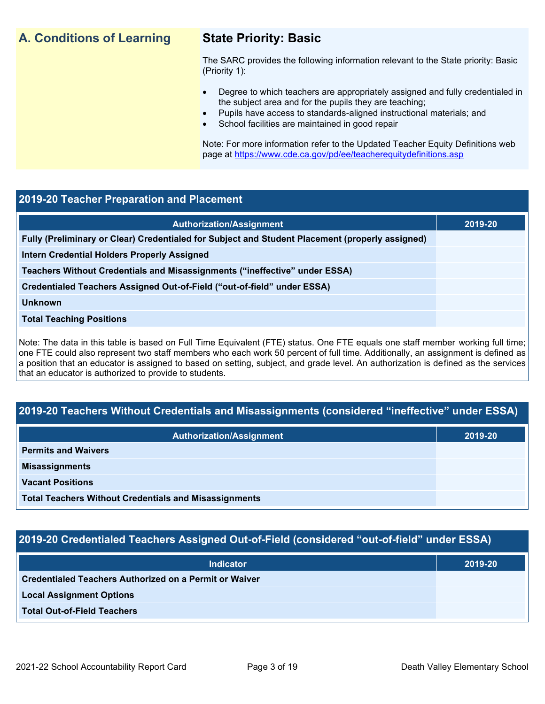## **A. Conditions of Learning State Priority: Basic**

The SARC provides the following information relevant to the State priority: Basic (Priority 1):

- Degree to which teachers are appropriately assigned and fully credentialed in the subject area and for the pupils they are teaching;
	- Pupils have access to standards-aligned instructional materials; and
- School facilities are maintained in good repair

Note: For more information refer to the Updated Teacher Equity Definitions web page at<https://www.cde.ca.gov/pd/ee/teacherequitydefinitions.asp>

### **2019-20 Teacher Preparation and Placement**

| <b>Authorization/Assignment</b>                                                                 | 2019-20 |
|-------------------------------------------------------------------------------------------------|---------|
| Fully (Preliminary or Clear) Credentialed for Subject and Student Placement (properly assigned) |         |
| Intern Credential Holders Properly Assigned                                                     |         |
| Teachers Without Credentials and Misassignments ("ineffective" under ESSA)                      |         |
| Credentialed Teachers Assigned Out-of-Field ("out-of-field" under ESSA)                         |         |
| <b>Unknown</b>                                                                                  |         |
| <b>Total Teaching Positions</b>                                                                 |         |
|                                                                                                 |         |

Note: The data in this table is based on Full Time Equivalent (FTE) status. One FTE equals one staff member working full time; one FTE could also represent two staff members who each work 50 percent of full time. Additionally, an assignment is defined as a position that an educator is assigned to based on setting, subject, and grade level. An authorization is defined as the services that an educator is authorized to provide to students.

### **2019-20 Teachers Without Credentials and Misassignments (considered "ineffective" under ESSA)**

| <b>Authorization/Assignment</b>                              | 2019-20 |
|--------------------------------------------------------------|---------|
| <b>Permits and Waivers</b>                                   |         |
| <b>Misassignments</b>                                        |         |
| <b>Vacant Positions</b>                                      |         |
| <b>Total Teachers Without Credentials and Misassignments</b> |         |

### **2019-20 Credentialed Teachers Assigned Out-of-Field (considered "out-of-field" under ESSA)**

| <b>Indicator</b>                                       | 2019-20 |
|--------------------------------------------------------|---------|
| Credentialed Teachers Authorized on a Permit or Waiver |         |
| <b>Local Assignment Options</b>                        |         |
| <b>Total Out-of-Field Teachers</b>                     |         |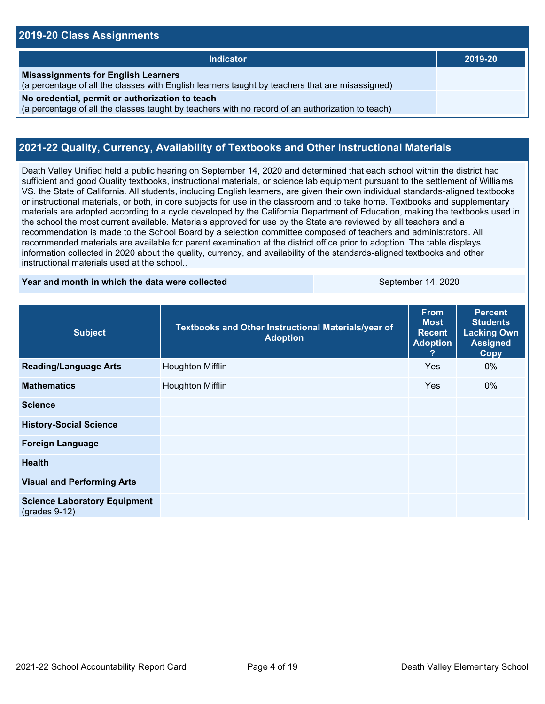### **2019-20 Class Assignments**

| <b>Indicator</b>                                                                                                                                    | 2019-20 |
|-----------------------------------------------------------------------------------------------------------------------------------------------------|---------|
| <b>Misassignments for English Learners</b><br>(a percentage of all the classes with English learners taught by teachers that are misassigned)       |         |
| No credential, permit or authorization to teach<br>(a percentage of all the classes taught by teachers with no record of an authorization to teach) |         |

### **2021-22 Quality, Currency, Availability of Textbooks and Other Instructional Materials**

Death Valley Unified held a public hearing on September 14, 2020 and determined that each school within the district had sufficient and good Quality textbooks, instructional materials, or science lab equipment pursuant to the settlement of Williams VS. the State of California. All students, including English learners, are given their own individual standards-aligned textbooks or instructional materials, or both, in core subjects for use in the classroom and to take home. Textbooks and supplementary materials are adopted according to a cycle developed by the California Department of Education, making the textbooks used in the school the most current available. Materials approved for use by the State are reviewed by all teachers and a recommendation is made to the School Board by a selection committee composed of teachers and administrators. All recommended materials are available for parent examination at the district office prior to adoption. The table displays information collected in 2020 about the quality, currency, and availability of the standards-aligned textbooks and other instructional materials used at the school..

### **Year and month in which the data were collected September 14, 2020**

| <b>Subject</b>                                         | Textbooks and Other Instructional Materials/year of<br><b>Adoption</b> | <b>From</b><br><b>Most</b><br><b>Recent</b><br><b>Adoption</b> | <b>Percent</b><br><b>Students</b><br><b>Lacking Own</b><br><b>Assigned</b><br><b>Copy</b> |
|--------------------------------------------------------|------------------------------------------------------------------------|----------------------------------------------------------------|-------------------------------------------------------------------------------------------|
| <b>Reading/Language Arts</b>                           | <b>Houghton Mifflin</b>                                                | Yes                                                            | $0\%$                                                                                     |
| <b>Mathematics</b>                                     | Houghton Mifflin                                                       | <b>Yes</b>                                                     | $0\%$                                                                                     |
| <b>Science</b>                                         |                                                                        |                                                                |                                                                                           |
| <b>History-Social Science</b>                          |                                                                        |                                                                |                                                                                           |
| <b>Foreign Language</b>                                |                                                                        |                                                                |                                                                                           |
| <b>Health</b>                                          |                                                                        |                                                                |                                                                                           |
| <b>Visual and Performing Arts</b>                      |                                                                        |                                                                |                                                                                           |
| <b>Science Laboratory Equipment</b><br>$(grades 9-12)$ |                                                                        |                                                                |                                                                                           |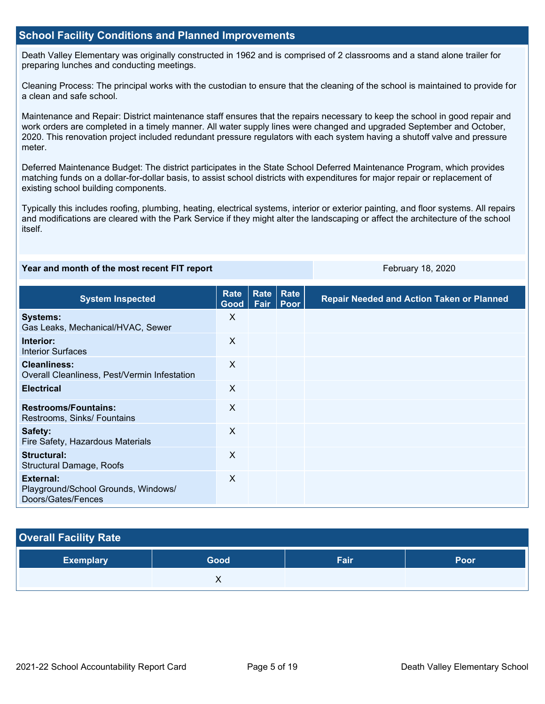### **School Facility Conditions and Planned Improvements**

Death Valley Elementary was originally constructed in 1962 and is comprised of 2 classrooms and a stand alone trailer for preparing lunches and conducting meetings.

Cleaning Process: The principal works with the custodian to ensure that the cleaning of the school is maintained to provide for a clean and safe school.

Maintenance and Repair: District maintenance staff ensures that the repairs necessary to keep the school in good repair and work orders are completed in a timely manner. All water supply lines were changed and upgraded September and October, 2020. This renovation project included redundant pressure regulators with each system having a shutoff valve and pressure meter.

Deferred Maintenance Budget: The district participates in the State School Deferred Maintenance Program, which provides matching funds on a dollar-for-dollar basis, to assist school districts with expenditures for major repair or replacement of existing school building components.

Typically this includes roofing, plumbing, heating, electrical systems, interior or exterior painting, and floor systems. All repairs and modifications are cleared with the Park Service if they might alter the landscaping or affect the architecture of the school itself.

### **Year and month of the most recent FIT report** February 18, 2020

| <b>System Inspected</b>                                                | <b>Rate</b><br>Good | Rate<br>Fair | <b>Rate</b><br><b>Poor</b> | <b>Repair Needed and Action Taken or Planned</b> |
|------------------------------------------------------------------------|---------------------|--------------|----------------------------|--------------------------------------------------|
| <b>Systems:</b><br>Gas Leaks, Mechanical/HVAC, Sewer                   | X                   |              |                            |                                                  |
| Interior:<br><b>Interior Surfaces</b>                                  | X                   |              |                            |                                                  |
| <b>Cleanliness:</b><br>Overall Cleanliness, Pest/Vermin Infestation    | X                   |              |                            |                                                  |
| <b>Electrical</b>                                                      | X                   |              |                            |                                                  |
| <b>Restrooms/Fountains:</b><br>Restrooms, Sinks/ Fountains             | X                   |              |                            |                                                  |
| Safety:<br>Fire Safety, Hazardous Materials                            | X                   |              |                            |                                                  |
| Structural:<br>Structural Damage, Roofs                                | X                   |              |                            |                                                  |
| External:<br>Playground/School Grounds, Windows/<br>Doors/Gates/Fences | X                   |              |                            |                                                  |

### **Overall Facility Rate**

| <b>Exemplary</b> | Good | Fair | Poor |
|------------------|------|------|------|
|                  |      |      |      |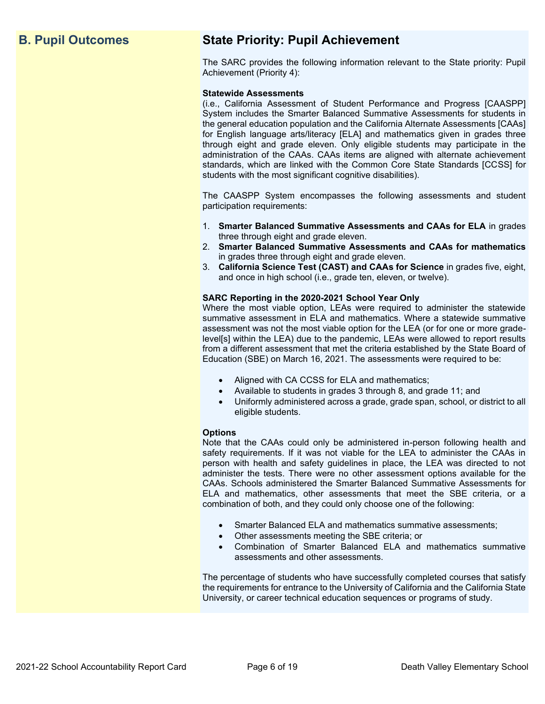## **B. Pupil Outcomes State Priority: Pupil Achievement**

The SARC provides the following information relevant to the State priority: Pupil Achievement (Priority 4):

### **Statewide Assessments**

(i.e., California Assessment of Student Performance and Progress [CAASPP] System includes the Smarter Balanced Summative Assessments for students in the general education population and the California Alternate Assessments [CAAs] for English language arts/literacy [ELA] and mathematics given in grades three through eight and grade eleven. Only eligible students may participate in the administration of the CAAs. CAAs items are aligned with alternate achievement standards, which are linked with the Common Core State Standards [CCSS] for students with the most significant cognitive disabilities).

The CAASPP System encompasses the following assessments and student participation requirements:

- 1. **Smarter Balanced Summative Assessments and CAAs for ELA** in grades three through eight and grade eleven.
- 2. **Smarter Balanced Summative Assessments and CAAs for mathematics** in grades three through eight and grade eleven.
- 3. **California Science Test (CAST) and CAAs for Science** in grades five, eight, and once in high school (i.e., grade ten, eleven, or twelve).

### **SARC Reporting in the 2020-2021 School Year Only**

Where the most viable option, LEAs were required to administer the statewide summative assessment in ELA and mathematics. Where a statewide summative assessment was not the most viable option for the LEA (or for one or more gradelevel[s] within the LEA) due to the pandemic, LEAs were allowed to report results from a different assessment that met the criteria established by the State Board of Education (SBE) on March 16, 2021. The assessments were required to be:

- Aligned with CA CCSS for ELA and mathematics;
- Available to students in grades 3 through 8, and grade 11; and
- Uniformly administered across a grade, grade span, school, or district to all eligible students.

### **Options**

Note that the CAAs could only be administered in-person following health and safety requirements. If it was not viable for the LEA to administer the CAAs in person with health and safety guidelines in place, the LEA was directed to not administer the tests. There were no other assessment options available for the CAAs. Schools administered the Smarter Balanced Summative Assessments for ELA and mathematics, other assessments that meet the SBE criteria, or a combination of both, and they could only choose one of the following:

- Smarter Balanced ELA and mathematics summative assessments;
- Other assessments meeting the SBE criteria; or
- Combination of Smarter Balanced ELA and mathematics summative assessments and other assessments.

The percentage of students who have successfully completed courses that satisfy the requirements for entrance to the University of California and the California State University, or career technical education sequences or programs of study.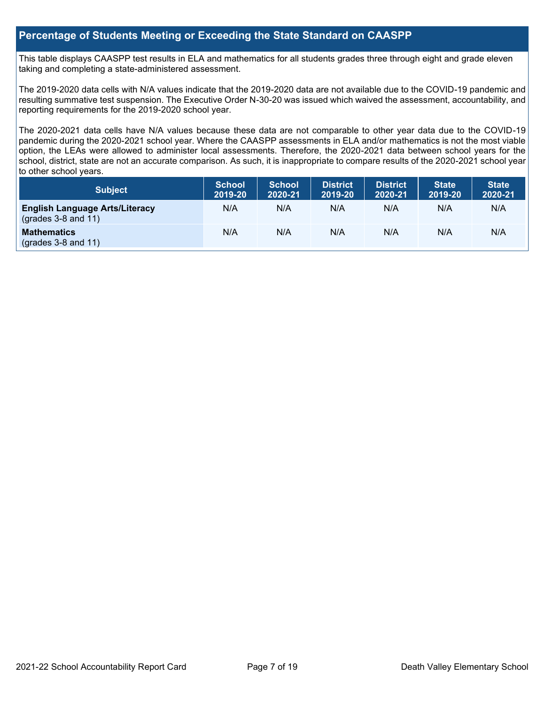### **Percentage of Students Meeting or Exceeding the State Standard on CAASPP**

This table displays CAASPP test results in ELA and mathematics for all students grades three through eight and grade eleven taking and completing a state-administered assessment.

The 2019-2020 data cells with N/A values indicate that the 2019-2020 data are not available due to the COVID-19 pandemic and resulting summative test suspension. The Executive Order N-30-20 was issued which waived the assessment, accountability, and reporting requirements for the 2019-2020 school year.

The 2020-2021 data cells have N/A values because these data are not comparable to other year data due to the COVID-19 pandemic during the 2020-2021 school year. Where the CAASPP assessments in ELA and/or mathematics is not the most viable option, the LEAs were allowed to administer local assessments. Therefore, the 2020-2021 data between school years for the school, district, state are not an accurate comparison. As such, it is inappropriate to compare results of the 2020-2021 school year to other school years.

| Subject                                                              | <b>School</b><br>2019-20 | <b>School</b><br>2020-21 | <b>District</b><br>2019-20 | <b>District</b><br>2020-21 | <b>State</b><br>2019-20 | <b>State</b><br>2020-21 |
|----------------------------------------------------------------------|--------------------------|--------------------------|----------------------------|----------------------------|-------------------------|-------------------------|
| <b>English Language Arts/Literacy</b><br>$\left($ grades 3-8 and 11) | N/A                      | N/A                      | N/A                        | N/A                        | N/A                     | N/A                     |
| <b>Mathematics</b><br>$(grades 3-8 and 11)$                          | N/A                      | N/A                      | N/A                        | N/A                        | N/A                     | N/A                     |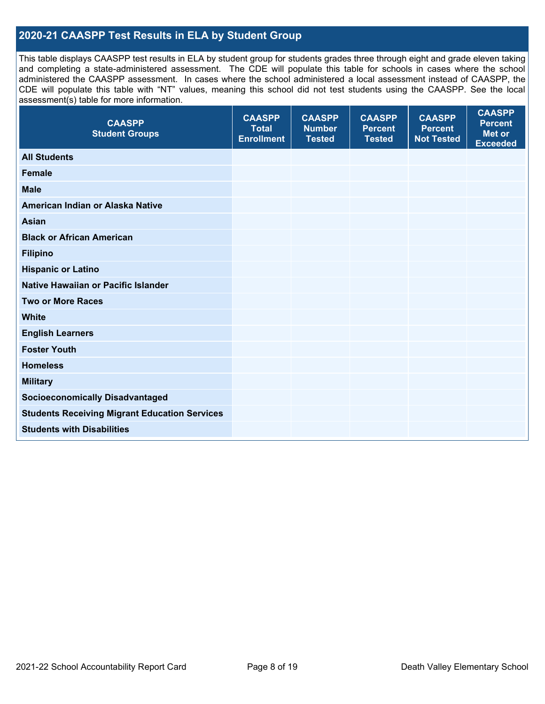### **2020-21 CAASPP Test Results in ELA by Student Group**

This table displays CAASPP test results in ELA by student group for students grades three through eight and grade eleven taking and completing a state-administered assessment. The CDE will populate this table for schools in cases where the school administered the CAASPP assessment. In cases where the school administered a local assessment instead of CAASPP, the CDE will populate this table with "NT" values, meaning this school did not test students using the CAASPP. See the local assessment(s) table for more information.

| <b>CAASPP</b><br><b>Total</b><br><b>Enrollment</b> | <b>CAASPP</b><br><b>Number</b><br><b>Tested</b> | <b>CAASPP</b><br><b>Percent</b><br><b>Tested</b> | <b>CAASPP</b><br><b>Percent</b><br><b>Not Tested</b> | <b>CAASPP</b><br><b>Percent</b><br><b>Met or</b><br><b>Exceeded</b> |
|----------------------------------------------------|-------------------------------------------------|--------------------------------------------------|------------------------------------------------------|---------------------------------------------------------------------|
|                                                    |                                                 |                                                  |                                                      |                                                                     |
|                                                    |                                                 |                                                  |                                                      |                                                                     |
|                                                    |                                                 |                                                  |                                                      |                                                                     |
|                                                    |                                                 |                                                  |                                                      |                                                                     |
|                                                    |                                                 |                                                  |                                                      |                                                                     |
|                                                    |                                                 |                                                  |                                                      |                                                                     |
|                                                    |                                                 |                                                  |                                                      |                                                                     |
|                                                    |                                                 |                                                  |                                                      |                                                                     |
|                                                    |                                                 |                                                  |                                                      |                                                                     |
|                                                    |                                                 |                                                  |                                                      |                                                                     |
|                                                    |                                                 |                                                  |                                                      |                                                                     |
|                                                    |                                                 |                                                  |                                                      |                                                                     |
|                                                    |                                                 |                                                  |                                                      |                                                                     |
|                                                    |                                                 |                                                  |                                                      |                                                                     |
|                                                    |                                                 |                                                  |                                                      |                                                                     |
|                                                    |                                                 |                                                  |                                                      |                                                                     |
|                                                    |                                                 |                                                  |                                                      |                                                                     |
|                                                    |                                                 |                                                  |                                                      |                                                                     |
|                                                    |                                                 |                                                  |                                                      |                                                                     |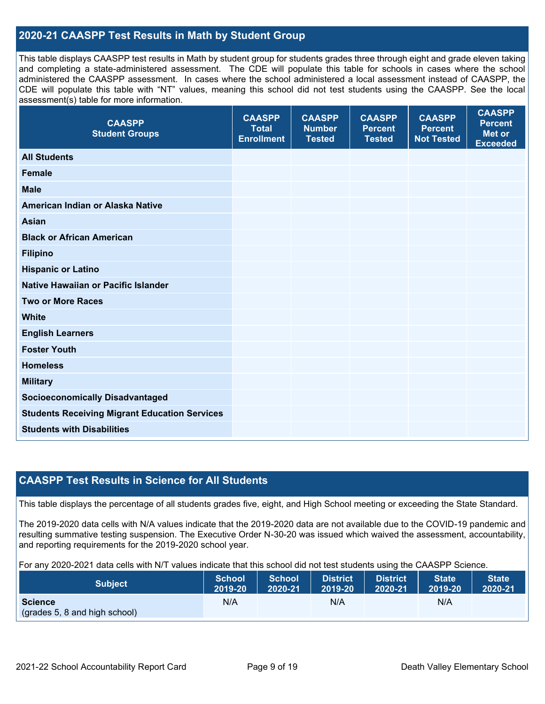### **2020-21 CAASPP Test Results in Math by Student Group**

This table displays CAASPP test results in Math by student group for students grades three through eight and grade eleven taking and completing a state-administered assessment. The CDE will populate this table for schools in cases where the school administered the CAASPP assessment. In cases where the school administered a local assessment instead of CAASPP, the CDE will populate this table with "NT" values, meaning this school did not test students using the CAASPP. See the local assessment(s) table for more information.

| <b>CAASPP</b><br><b>Student Groups</b>               | <b>CAASPP</b><br><b>Total</b><br><b>Enrollment</b> | <b>CAASPP</b><br><b>Number</b><br><b>Tested</b> | <b>CAASPP</b><br><b>Percent</b><br><b>Tested</b> | <b>CAASPP</b><br><b>Percent</b><br><b>Not Tested</b> | <b>CAASPP</b><br><b>Percent</b><br><b>Met or</b><br><b>Exceeded</b> |
|------------------------------------------------------|----------------------------------------------------|-------------------------------------------------|--------------------------------------------------|------------------------------------------------------|---------------------------------------------------------------------|
| <b>All Students</b>                                  |                                                    |                                                 |                                                  |                                                      |                                                                     |
| <b>Female</b>                                        |                                                    |                                                 |                                                  |                                                      |                                                                     |
| <b>Male</b>                                          |                                                    |                                                 |                                                  |                                                      |                                                                     |
| American Indian or Alaska Native                     |                                                    |                                                 |                                                  |                                                      |                                                                     |
| <b>Asian</b>                                         |                                                    |                                                 |                                                  |                                                      |                                                                     |
| <b>Black or African American</b>                     |                                                    |                                                 |                                                  |                                                      |                                                                     |
| <b>Filipino</b>                                      |                                                    |                                                 |                                                  |                                                      |                                                                     |
| <b>Hispanic or Latino</b>                            |                                                    |                                                 |                                                  |                                                      |                                                                     |
| Native Hawaiian or Pacific Islander                  |                                                    |                                                 |                                                  |                                                      |                                                                     |
| <b>Two or More Races</b>                             |                                                    |                                                 |                                                  |                                                      |                                                                     |
| <b>White</b>                                         |                                                    |                                                 |                                                  |                                                      |                                                                     |
| <b>English Learners</b>                              |                                                    |                                                 |                                                  |                                                      |                                                                     |
| <b>Foster Youth</b>                                  |                                                    |                                                 |                                                  |                                                      |                                                                     |
| <b>Homeless</b>                                      |                                                    |                                                 |                                                  |                                                      |                                                                     |
| <b>Military</b>                                      |                                                    |                                                 |                                                  |                                                      |                                                                     |
| <b>Socioeconomically Disadvantaged</b>               |                                                    |                                                 |                                                  |                                                      |                                                                     |
| <b>Students Receiving Migrant Education Services</b> |                                                    |                                                 |                                                  |                                                      |                                                                     |
| <b>Students with Disabilities</b>                    |                                                    |                                                 |                                                  |                                                      |                                                                     |
|                                                      |                                                    |                                                 |                                                  |                                                      |                                                                     |

### **CAASPP Test Results in Science for All Students**

This table displays the percentage of all students grades five, eight, and High School meeting or exceeding the State Standard.

The 2019-2020 data cells with N/A values indicate that the 2019-2020 data are not available due to the COVID-19 pandemic and resulting summative testing suspension. The Executive Order N-30-20 was issued which waived the assessment, accountability, and reporting requirements for the 2019-2020 school year.

For any 2020-2021 data cells with N/T values indicate that this school did not test students using the CAASPP Science.

| <b>Subject</b>                                  | <b>School</b> | <b>School</b> | <b>District</b> | District | <b>State</b> | <b>State</b> |
|-------------------------------------------------|---------------|---------------|-----------------|----------|--------------|--------------|
|                                                 | 2019-20       | 2020-21       | 2019-20         | 2020-21  | 2019-20      | 2020-21      |
| <b>Science</b><br>(grades 5, 8 and high school) | N/A           |               | N/A             |          | N/A          |              |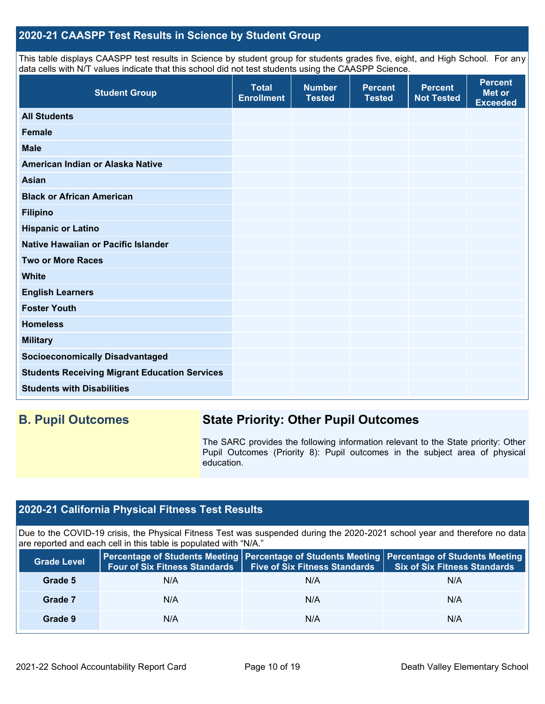### **2020-21 CAASPP Test Results in Science by Student Group**

This table displays CAASPP test results in Science by student group for students grades five, eight, and High School. For any data cells with N/T values indicate that this school did not test students using the CAASPP Science.

| <b>Student Group</b>                                 | <b>Total</b><br><b>Enrollment</b> | <b>Number</b><br><b>Tested</b> | <b>Percent</b><br><b>Tested</b> | <b>Percent</b><br><b>Not Tested</b> | <b>Percent</b><br>Met or<br><b>Exceeded</b> |
|------------------------------------------------------|-----------------------------------|--------------------------------|---------------------------------|-------------------------------------|---------------------------------------------|
| <b>All Students</b>                                  |                                   |                                |                                 |                                     |                                             |
| <b>Female</b>                                        |                                   |                                |                                 |                                     |                                             |
| <b>Male</b>                                          |                                   |                                |                                 |                                     |                                             |
| American Indian or Alaska Native                     |                                   |                                |                                 |                                     |                                             |
| <b>Asian</b>                                         |                                   |                                |                                 |                                     |                                             |
| <b>Black or African American</b>                     |                                   |                                |                                 |                                     |                                             |
| <b>Filipino</b>                                      |                                   |                                |                                 |                                     |                                             |
| <b>Hispanic or Latino</b>                            |                                   |                                |                                 |                                     |                                             |
| Native Hawaiian or Pacific Islander                  |                                   |                                |                                 |                                     |                                             |
| <b>Two or More Races</b>                             |                                   |                                |                                 |                                     |                                             |
| <b>White</b>                                         |                                   |                                |                                 |                                     |                                             |
| <b>English Learners</b>                              |                                   |                                |                                 |                                     |                                             |
| <b>Foster Youth</b>                                  |                                   |                                |                                 |                                     |                                             |
| <b>Homeless</b>                                      |                                   |                                |                                 |                                     |                                             |
| <b>Military</b>                                      |                                   |                                |                                 |                                     |                                             |
| <b>Socioeconomically Disadvantaged</b>               |                                   |                                |                                 |                                     |                                             |
| <b>Students Receiving Migrant Education Services</b> |                                   |                                |                                 |                                     |                                             |
| <b>Students with Disabilities</b>                    |                                   |                                |                                 |                                     |                                             |

## **B. Pupil Outcomes State Priority: Other Pupil Outcomes**

The SARC provides the following information relevant to the State priority: Other Pupil Outcomes (Priority 8): Pupil outcomes in the subject area of physical education.

### **2020-21 California Physical Fitness Test Results**

Due to the COVID-19 crisis, the Physical Fitness Test was suspended during the 2020-2021 school year and therefore no data are reported and each cell in this table is populated with "N/A."

| <b>Grade Level</b> | <b>Four of Six Fitness Standards</b> | <b>Five of Six Fitness Standards</b> | Percentage of Students Meeting   Percentage of Students Meeting   Percentage of Students Meeting<br><b>Six of Six Fitness Standards</b> |
|--------------------|--------------------------------------|--------------------------------------|-----------------------------------------------------------------------------------------------------------------------------------------|
| Grade 5            | N/A                                  | N/A                                  | N/A                                                                                                                                     |
| Grade 7            | N/A                                  | N/A                                  | N/A                                                                                                                                     |
| Grade 9            | N/A                                  | N/A                                  | N/A                                                                                                                                     |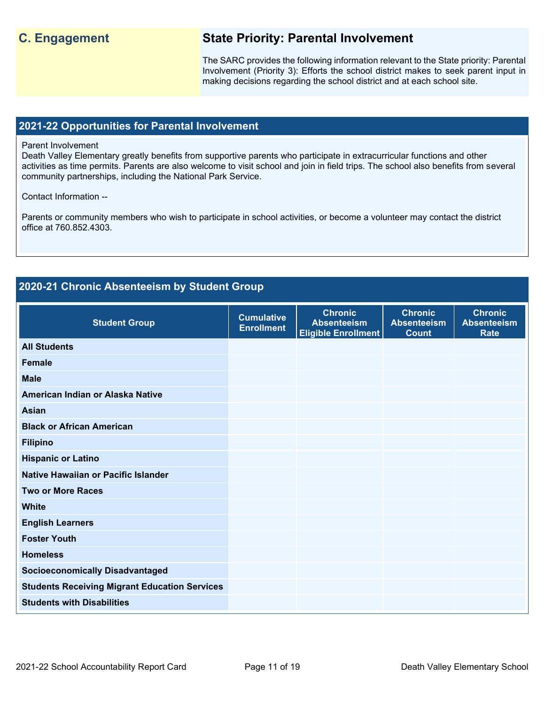### **C. Engagement State Priority: Parental Involvement**

The SARC provides the following information relevant to the State priority: Parental Involvement (Priority 3): Efforts the school district makes to seek parent input in making decisions regarding the school district and at each school site.

### **2021-22 Opportunities for Parental Involvement**

### Parent Involvement

Death Valley Elementary greatly benefits from supportive parents who participate in extracurricular functions and other activities as time permits. Parents are also welcome to visit school and join in field trips. The school also benefits from several community partnerships, including the National Park Service.

### Contact Information --

Parents or community members who wish to participate in school activities, or become a volunteer may contact the district office at 760.852.4303.

## **2020-21 Chronic Absenteeism by Student Group**

| <b>Student Group</b>                                 | <b>Cumulative</b><br><b>Enrollment</b> | <b>Chronic</b><br><b>Absenteeism</b><br><b>Eligible Enrollment</b> | <b>Chronic</b><br><b>Absenteeism</b><br><b>Count</b> | <b>Chronic</b><br><b>Absenteeism</b><br><b>Rate</b> |
|------------------------------------------------------|----------------------------------------|--------------------------------------------------------------------|------------------------------------------------------|-----------------------------------------------------|
| <b>All Students</b>                                  |                                        |                                                                    |                                                      |                                                     |
| <b>Female</b>                                        |                                        |                                                                    |                                                      |                                                     |
| <b>Male</b>                                          |                                        |                                                                    |                                                      |                                                     |
| American Indian or Alaska Native                     |                                        |                                                                    |                                                      |                                                     |
| <b>Asian</b>                                         |                                        |                                                                    |                                                      |                                                     |
| <b>Black or African American</b>                     |                                        |                                                                    |                                                      |                                                     |
| <b>Filipino</b>                                      |                                        |                                                                    |                                                      |                                                     |
| <b>Hispanic or Latino</b>                            |                                        |                                                                    |                                                      |                                                     |
| Native Hawaiian or Pacific Islander                  |                                        |                                                                    |                                                      |                                                     |
| <b>Two or More Races</b>                             |                                        |                                                                    |                                                      |                                                     |
| <b>White</b>                                         |                                        |                                                                    |                                                      |                                                     |
| <b>English Learners</b>                              |                                        |                                                                    |                                                      |                                                     |
| <b>Foster Youth</b>                                  |                                        |                                                                    |                                                      |                                                     |
| <b>Homeless</b>                                      |                                        |                                                                    |                                                      |                                                     |
| <b>Socioeconomically Disadvantaged</b>               |                                        |                                                                    |                                                      |                                                     |
| <b>Students Receiving Migrant Education Services</b> |                                        |                                                                    |                                                      |                                                     |
| <b>Students with Disabilities</b>                    |                                        |                                                                    |                                                      |                                                     |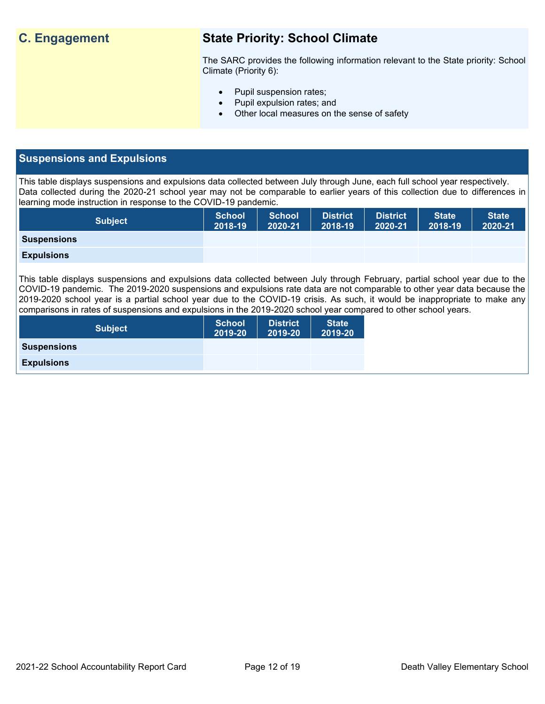## **C. Engagement State Priority: School Climate**

The SARC provides the following information relevant to the State priority: School Climate (Priority 6):

- Pupil suspension rates;
- Pupil expulsion rates; and
- Other local measures on the sense of safety

### **Suspensions and Expulsions**

This table displays suspensions and expulsions data collected between July through June, each full school year respectively. Data collected during the 2020-21 school year may not be comparable to earlier years of this collection due to differences in learning mode instruction in response to the COVID-19 pandemic.

| <b>Subject</b>     | <b>School</b><br>2018-19 | <b>School</b><br>2020-21 | <b>District</b><br>2018-19 | <b>District</b><br>2020-21 | <b>State</b><br>2018-19 | <b>State</b><br>2020-21 |
|--------------------|--------------------------|--------------------------|----------------------------|----------------------------|-------------------------|-------------------------|
| <b>Suspensions</b> |                          |                          |                            |                            |                         |                         |
| <b>Expulsions</b>  |                          |                          |                            |                            |                         |                         |

This table displays suspensions and expulsions data collected between July through February, partial school year due to the COVID-19 pandemic. The 2019-2020 suspensions and expulsions rate data are not comparable to other year data because the 2019-2020 school year is a partial school year due to the COVID-19 crisis. As such, it would be inappropriate to make any comparisons in rates of suspensions and expulsions in the 2019-2020 school year compared to other school years.

| <b>Subject</b>     | <b>School</b><br>2019-20 | <b>District</b><br>2019-20 | <b>State</b><br>2019-20 |
|--------------------|--------------------------|----------------------------|-------------------------|
| <b>Suspensions</b> |                          |                            |                         |
| <b>Expulsions</b>  |                          |                            |                         |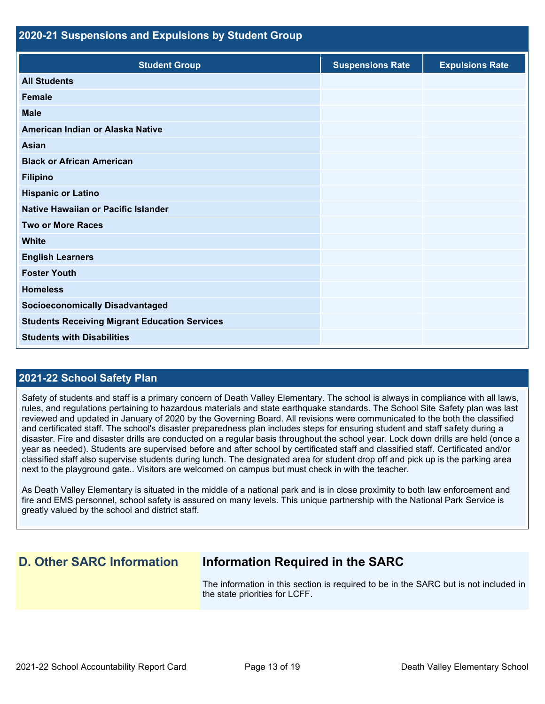| 2020-21 Suspensions and Expulsions by Student Group  |                         |                        |  |  |  |
|------------------------------------------------------|-------------------------|------------------------|--|--|--|
| <b>Student Group</b>                                 | <b>Suspensions Rate</b> | <b>Expulsions Rate</b> |  |  |  |
| <b>All Students</b>                                  |                         |                        |  |  |  |
| Female                                               |                         |                        |  |  |  |
| <b>Male</b>                                          |                         |                        |  |  |  |
| American Indian or Alaska Native                     |                         |                        |  |  |  |
| <b>Asian</b>                                         |                         |                        |  |  |  |
| <b>Black or African American</b>                     |                         |                        |  |  |  |
| <b>Filipino</b>                                      |                         |                        |  |  |  |
| <b>Hispanic or Latino</b>                            |                         |                        |  |  |  |
| Native Hawaiian or Pacific Islander                  |                         |                        |  |  |  |
| <b>Two or More Races</b>                             |                         |                        |  |  |  |
| <b>White</b>                                         |                         |                        |  |  |  |
| <b>English Learners</b>                              |                         |                        |  |  |  |
| <b>Foster Youth</b>                                  |                         |                        |  |  |  |
| <b>Homeless</b>                                      |                         |                        |  |  |  |
| <b>Socioeconomically Disadvantaged</b>               |                         |                        |  |  |  |
| <b>Students Receiving Migrant Education Services</b> |                         |                        |  |  |  |
| <b>Students with Disabilities</b>                    |                         |                        |  |  |  |

### **2021-22 School Safety Plan**

Safety of students and staff is a primary concern of Death Valley Elementary. The school is always in compliance with all laws, rules, and regulations pertaining to hazardous materials and state earthquake standards. The School Site Safety plan was last reviewed and updated in January of 2020 by the Governing Board. All revisions were communicated to the both the classified and certificated staff. The school's disaster preparedness plan includes steps for ensuring student and staff safety during a disaster. Fire and disaster drills are conducted on a regular basis throughout the school year. Lock down drills are held (once a year as needed). Students are supervised before and after school by certificated staff and classified staff. Certificated and/or classified staff also supervise students during lunch. The designated area for student drop off and pick up is the parking area next to the playground gate.. Visitors are welcomed on campus but must check in with the teacher.

As Death Valley Elementary is situated in the middle of a national park and is in close proximity to both law enforcement and fire and EMS personnel, school safety is assured on many levels. This unique partnership with the National Park Service is greatly valued by the school and district staff.

## **D. Other SARC Information Information Required in the SARC**

The information in this section is required to be in the SARC but is not included in the state priorities for LCFF.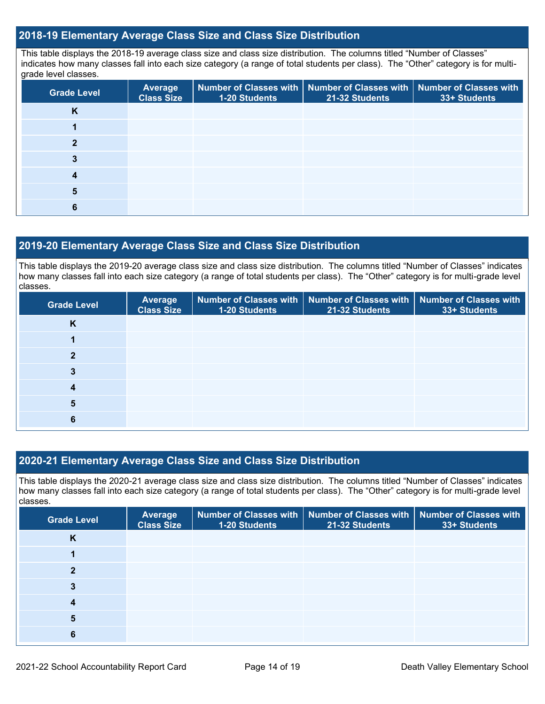### **2018-19 Elementary Average Class Size and Class Size Distribution**

This table displays the 2018-19 average class size and class size distribution. The columns titled "Number of Classes" indicates how many classes fall into each size category (a range of total students per class). The "Other" category is for multigrade level classes.

| <b>Grade Level</b> | <b>Average</b><br><b>Class Size</b> | 1-20 Students | Number of Classes with   Number of Classes with  <br>21-32 Students | <b>Number of Classes with</b><br>33+ Students |
|--------------------|-------------------------------------|---------------|---------------------------------------------------------------------|-----------------------------------------------|
| K                  |                                     |               |                                                                     |                                               |
|                    |                                     |               |                                                                     |                                               |
| 2                  |                                     |               |                                                                     |                                               |
|                    |                                     |               |                                                                     |                                               |
|                    |                                     |               |                                                                     |                                               |
|                    |                                     |               |                                                                     |                                               |
|                    |                                     |               |                                                                     |                                               |

### **2019-20 Elementary Average Class Size and Class Size Distribution**

This table displays the 2019-20 average class size and class size distribution. The columns titled "Number of Classes" indicates how many classes fall into each size category (a range of total students per class). The "Other" category is for multi-grade level classes.

| <b>Grade Level</b> | Average<br><b>Class Size</b> | Number of Classes with<br>1-20 Students | 21-32 Students | Number of Classes with Number of Classes with<br>33+ Students |
|--------------------|------------------------------|-----------------------------------------|----------------|---------------------------------------------------------------|
| K                  |                              |                                         |                |                                                               |
|                    |                              |                                         |                |                                                               |
|                    |                              |                                         |                |                                                               |
| 3                  |                              |                                         |                |                                                               |
| 4                  |                              |                                         |                |                                                               |
| 5                  |                              |                                         |                |                                                               |
| 6                  |                              |                                         |                |                                                               |

### **2020-21 Elementary Average Class Size and Class Size Distribution**

This table displays the 2020-21 average class size and class size distribution. The columns titled "Number of Classes" indicates how many classes fall into each size category (a range of total students per class). The "Other" category is for multi-grade level classes.

| <b>Grade Level</b> | Average<br><b>Class Size</b> | 1-20 Students | Number of Classes with   Number of Classes with   Number of Classes with<br>21-32 Students | 33+ Students |
|--------------------|------------------------------|---------------|--------------------------------------------------------------------------------------------|--------------|
| <b>N</b>           |                              |               |                                                                                            |              |
|                    |                              |               |                                                                                            |              |
| っ                  |                              |               |                                                                                            |              |
|                    |                              |               |                                                                                            |              |
|                    |                              |               |                                                                                            |              |
| 5                  |                              |               |                                                                                            |              |
| 6                  |                              |               |                                                                                            |              |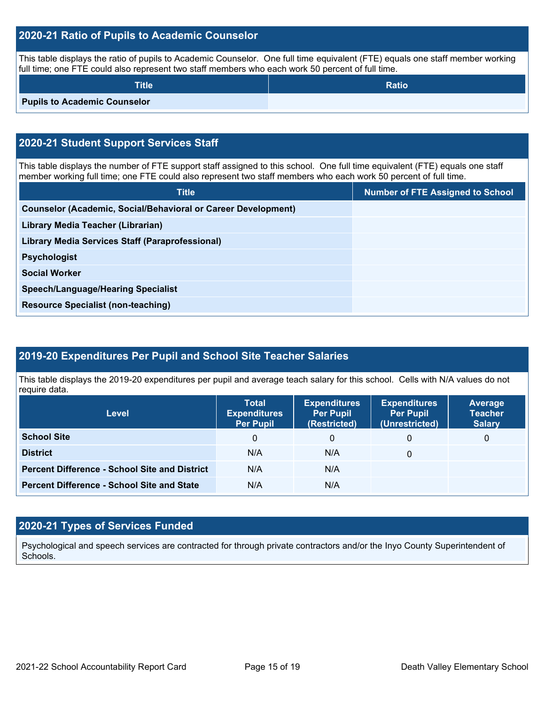### **2020-21 Ratio of Pupils to Academic Counselor**

This table displays the ratio of pupils to Academic Counselor. One full time equivalent (FTE) equals one staff member working full time; one FTE could also represent two staff members who each work 50 percent of full time.

| <b>Title</b>                        | <b>Ratio</b> |
|-------------------------------------|--------------|
| <b>Pupils to Academic Counselor</b> |              |

## **2020-21 Student Support Services Staff**

This table displays the number of FTE support staff assigned to this school. One full time equivalent (FTE) equals one staff member working full time; one FTE could also represent two staff members who each work 50 percent of full time.

| <b>Title</b>                                                         | <b>Number of FTE Assigned to School</b> |
|----------------------------------------------------------------------|-----------------------------------------|
| <b>Counselor (Academic, Social/Behavioral or Career Development)</b> |                                         |
| Library Media Teacher (Librarian)                                    |                                         |
| <b>Library Media Services Staff (Paraprofessional)</b>               |                                         |
| <b>Psychologist</b>                                                  |                                         |
| <b>Social Worker</b>                                                 |                                         |
| <b>Speech/Language/Hearing Specialist</b>                            |                                         |
| <b>Resource Specialist (non-teaching)</b>                            |                                         |
|                                                                      |                                         |

### **2019-20 Expenditures Per Pupil and School Site Teacher Salaries**

This table displays the 2019-20 expenditures per pupil and average teach salary for this school. Cells with N/A values do not require data.

| <b>Level</b>                                         | <b>Total</b><br><b>Expenditures</b><br><b>Per Pupil</b> | <b>Expenditures</b><br><b>Per Pupil</b><br>(Restricted) | <b>Expenditures</b><br><b>Per Pupil</b><br>(Unrestricted) | <b>Average</b><br><b>Teacher</b><br><b>Salary</b> |
|------------------------------------------------------|---------------------------------------------------------|---------------------------------------------------------|-----------------------------------------------------------|---------------------------------------------------|
| <b>School Site</b>                                   | 0                                                       | 0                                                       | 0                                                         | 0                                                 |
| <b>District</b>                                      | N/A                                                     | N/A                                                     | 0                                                         |                                                   |
| <b>Percent Difference - School Site and District</b> | N/A                                                     | N/A                                                     |                                                           |                                                   |
| <b>Percent Difference - School Site and State</b>    | N/A                                                     | N/A                                                     |                                                           |                                                   |

### **2020-21 Types of Services Funded**

Psychological and speech services are contracted for through private contractors and/or the Inyo County Superintendent of Schools.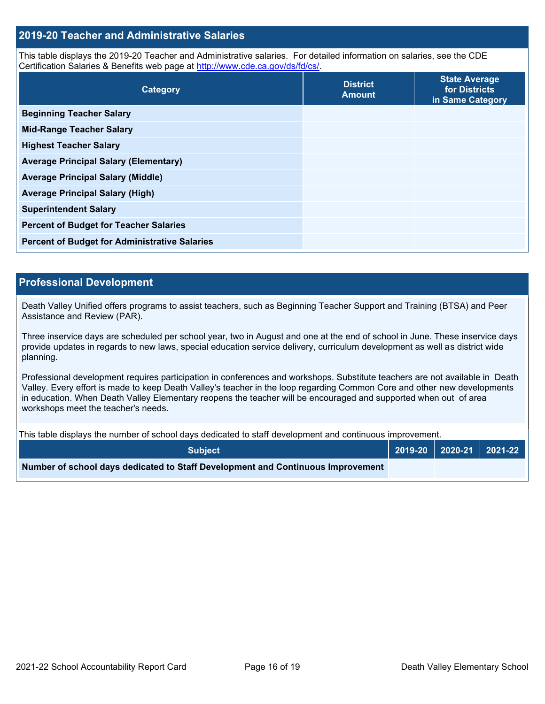### **2019-20 Teacher and Administrative Salaries**

This table displays the 2019-20 Teacher and Administrative salaries. For detailed information on salaries, see the CDE Certification Salaries & Benefits web page at [http://www.cde.ca.gov/ds/fd/cs/.](http://www.cde.ca.gov/ds/fd/cs/)

| Category                                             | <b>District</b><br><b>Amount</b> | <b>State Average</b><br>for Districts<br>in Same Category |
|------------------------------------------------------|----------------------------------|-----------------------------------------------------------|
| <b>Beginning Teacher Salary</b>                      |                                  |                                                           |
| <b>Mid-Range Teacher Salary</b>                      |                                  |                                                           |
| <b>Highest Teacher Salary</b>                        |                                  |                                                           |
| <b>Average Principal Salary (Elementary)</b>         |                                  |                                                           |
| <b>Average Principal Salary (Middle)</b>             |                                  |                                                           |
| <b>Average Principal Salary (High)</b>               |                                  |                                                           |
| <b>Superintendent Salary</b>                         |                                  |                                                           |
| <b>Percent of Budget for Teacher Salaries</b>        |                                  |                                                           |
| <b>Percent of Budget for Administrative Salaries</b> |                                  |                                                           |

### **Professional Development**

Death Valley Unified offers programs to assist teachers, such as Beginning Teacher Support and Training (BTSA) and Peer Assistance and Review (PAR).

Three inservice days are scheduled per school year, two in August and one at the end of school in June. These inservice days provide updates in regards to new laws, special education service delivery, curriculum development as well as district wide planning.

Professional development requires participation in conferences and workshops. Substitute teachers are not available in Death Valley. Every effort is made to keep Death Valley's teacher in the loop regarding Common Core and other new developments in education. When Death Valley Elementary reopens the teacher will be encouraged and supported when out of area workshops meet the teacher's needs.

This table displays the number of school days dedicated to staff development and continuous improvement.

| <b>Subiect</b>                                                                  |  |  |
|---------------------------------------------------------------------------------|--|--|
| Number of school days dedicated to Staff Development and Continuous Improvement |  |  |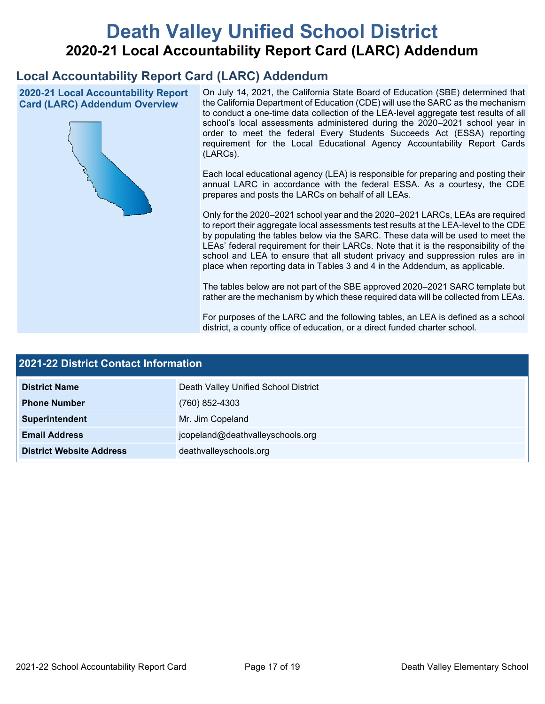# **Death Valley Unified School District 2020-21 Local Accountability Report Card (LARC) Addendum**

## **Local Accountability Report Card (LARC) Addendum**

**2020-21 Local Accountability Report Card (LARC) Addendum Overview**



On July 14, 2021, the California State Board of Education (SBE) determined that the California Department of Education (CDE) will use the SARC as the mechanism to conduct a one-time data collection of the LEA-level aggregate test results of all school's local assessments administered during the 2020–2021 school year in order to meet the federal Every Students Succeeds Act (ESSA) reporting requirement for the Local Educational Agency Accountability Report Cards (LARCs).

Each local educational agency (LEA) is responsible for preparing and posting their annual LARC in accordance with the federal ESSA. As a courtesy, the CDE prepares and posts the LARCs on behalf of all LEAs.

Only for the 2020–2021 school year and the 2020–2021 LARCs, LEAs are required to report their aggregate local assessments test results at the LEA-level to the CDE by populating the tables below via the SARC. These data will be used to meet the LEAs' federal requirement for their LARCs. Note that it is the responsibility of the school and LEA to ensure that all student privacy and suppression rules are in place when reporting data in Tables 3 and 4 in the Addendum, as applicable.

The tables below are not part of the SBE approved 2020–2021 SARC template but rather are the mechanism by which these required data will be collected from LEAs.

For purposes of the LARC and the following tables, an LEA is defined as a school district, a county office of education, or a direct funded charter school.

| <b>2021-22 District Contact Information</b> |                                      |  |  |  |
|---------------------------------------------|--------------------------------------|--|--|--|
| <b>District Name</b>                        | Death Valley Unified School District |  |  |  |
| <b>Phone Number</b>                         | (760) 852-4303                       |  |  |  |
| Superintendent                              | Mr. Jim Copeland                     |  |  |  |
| <b>Email Address</b>                        | jcopeland@deathvalleyschools.org     |  |  |  |
| <b>District Website Address</b>             | deathvalleyschools.org               |  |  |  |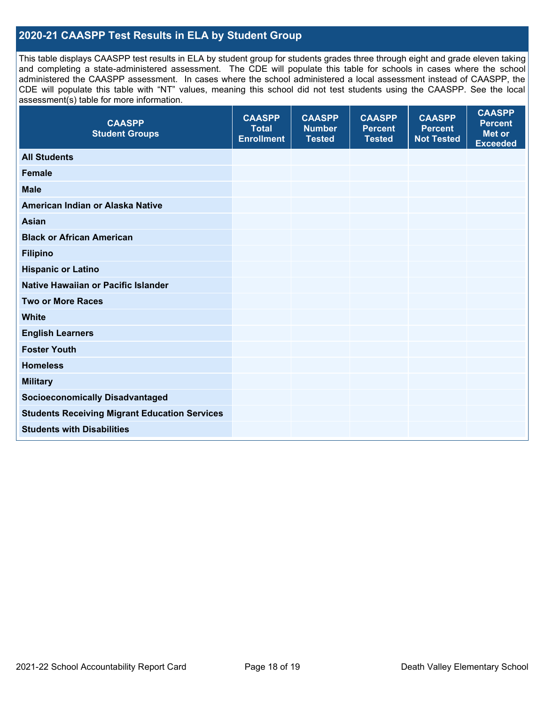### **2020-21 CAASPP Test Results in ELA by Student Group**

This table displays CAASPP test results in ELA by student group for students grades three through eight and grade eleven taking and completing a state-administered assessment. The CDE will populate this table for schools in cases where the school administered the CAASPP assessment. In cases where the school administered a local assessment instead of CAASPP, the CDE will populate this table with "NT" values, meaning this school did not test students using the CAASPP. See the local assessment(s) table for more information.

| <b>CAASPP</b><br><b>Student Groups</b>               | <b>CAASPP</b><br><b>Total</b><br><b>Enrollment</b> | <b>CAASPP</b><br><b>Number</b><br><b>Tested</b> | <b>CAASPP</b><br><b>Percent</b><br><b>Tested</b> | <b>CAASPP</b><br><b>Percent</b><br><b>Not Tested</b> | <b>CAASPP</b><br><b>Percent</b><br><b>Met or</b><br><b>Exceeded</b> |
|------------------------------------------------------|----------------------------------------------------|-------------------------------------------------|--------------------------------------------------|------------------------------------------------------|---------------------------------------------------------------------|
| <b>All Students</b>                                  |                                                    |                                                 |                                                  |                                                      |                                                                     |
| <b>Female</b>                                        |                                                    |                                                 |                                                  |                                                      |                                                                     |
| <b>Male</b>                                          |                                                    |                                                 |                                                  |                                                      |                                                                     |
| American Indian or Alaska Native                     |                                                    |                                                 |                                                  |                                                      |                                                                     |
| <b>Asian</b>                                         |                                                    |                                                 |                                                  |                                                      |                                                                     |
| <b>Black or African American</b>                     |                                                    |                                                 |                                                  |                                                      |                                                                     |
| <b>Filipino</b>                                      |                                                    |                                                 |                                                  |                                                      |                                                                     |
| <b>Hispanic or Latino</b>                            |                                                    |                                                 |                                                  |                                                      |                                                                     |
| Native Hawaiian or Pacific Islander                  |                                                    |                                                 |                                                  |                                                      |                                                                     |
| <b>Two or More Races</b>                             |                                                    |                                                 |                                                  |                                                      |                                                                     |
| <b>White</b>                                         |                                                    |                                                 |                                                  |                                                      |                                                                     |
| <b>English Learners</b>                              |                                                    |                                                 |                                                  |                                                      |                                                                     |
| <b>Foster Youth</b>                                  |                                                    |                                                 |                                                  |                                                      |                                                                     |
| <b>Homeless</b>                                      |                                                    |                                                 |                                                  |                                                      |                                                                     |
| <b>Military</b>                                      |                                                    |                                                 |                                                  |                                                      |                                                                     |
| <b>Socioeconomically Disadvantaged</b>               |                                                    |                                                 |                                                  |                                                      |                                                                     |
| <b>Students Receiving Migrant Education Services</b> |                                                    |                                                 |                                                  |                                                      |                                                                     |
| <b>Students with Disabilities</b>                    |                                                    |                                                 |                                                  |                                                      |                                                                     |